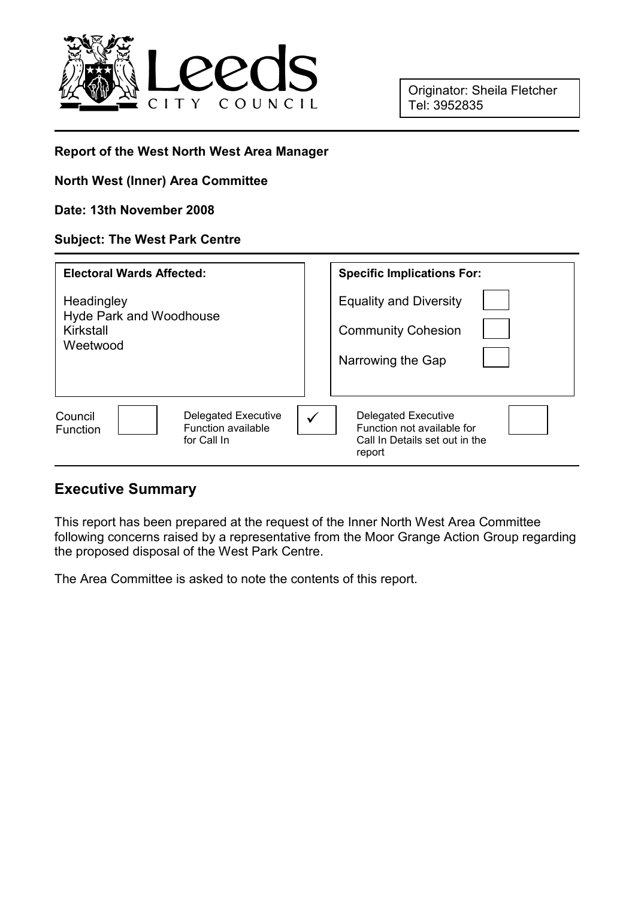

Originator: Sheila Fletcher Tel: 3952835

#### Report of the West North West Area Manager

#### North West (Inner) Area Committee

#### Date: 13th November 2008

#### Subject: The West Park Centre

| <b>Electoral Wards Affected:</b>                                                              | <b>Specific Implications For:</b>                                                                                    |
|-----------------------------------------------------------------------------------------------|----------------------------------------------------------------------------------------------------------------------|
| Headingley<br><b>Hyde Park and Woodhouse</b><br>Kirkstall<br>Weetwood                         | <b>Equality and Diversity</b><br><b>Community Cohesion</b><br>Narrowing the Gap                                      |
| <b>Delegated Executive</b><br>Council<br><b>Function available</b><br>Function<br>for Call In | <b>Delegated Executive</b><br>$\checkmark$<br>Function not available for<br>Call In Details set out in the<br>report |

#### Executive Summary

This report has been prepared at the request of the Inner North West Area Committee following concerns raised by a representative from the Moor Grange Action Group regarding the proposed disposal of the West Park Centre.

The Area Committee is asked to note the contents of this report.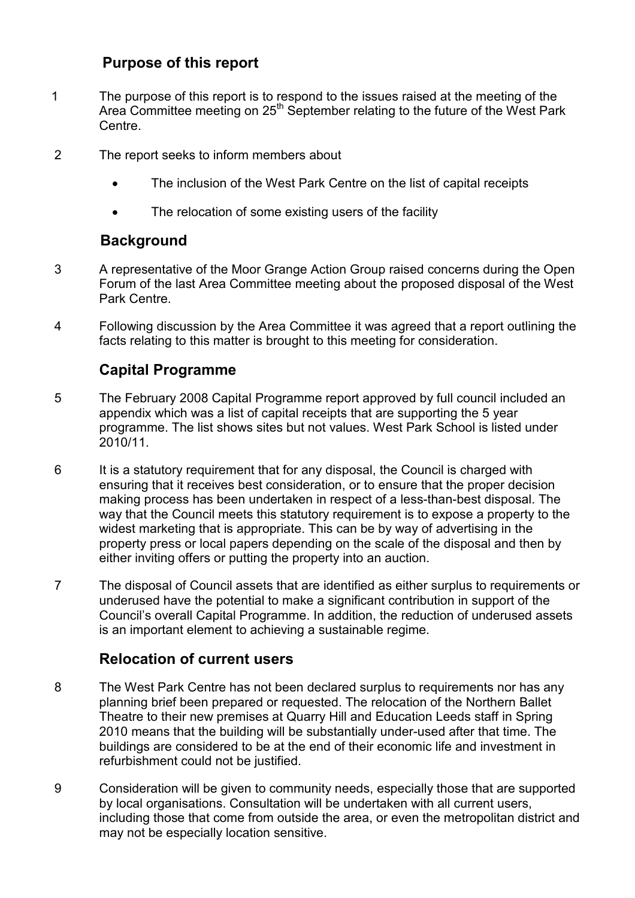# Purpose of this report

- 1 The purpose of this report is to respond to the issues raised at the meeting of the Area Committee meeting on 25<sup>th</sup> September relating to the future of the West Park Centre.
- 2 The report seeks to inform members about
	- The inclusion of the West Park Centre on the list of capital receipts
	- The relocation of some existing users of the facility

## **Background**

- 3 A representative of the Moor Grange Action Group raised concerns during the Open Forum of the last Area Committee meeting about the proposed disposal of the West Park Centre.
- 4 Following discussion by the Area Committee it was agreed that a report outlining the facts relating to this matter is brought to this meeting for consideration.

# Capital Programme

- 5 The February 2008 Capital Programme report approved by full council included an appendix which was a list of capital receipts that are supporting the 5 year programme. The list shows sites but not values. West Park School is listed under 2010/11.
- 6 It is a statutory requirement that for any disposal, the Council is charged with ensuring that it receives best consideration, or to ensure that the proper decision making process has been undertaken in respect of a less-than-best disposal. The way that the Council meets this statutory requirement is to expose a property to the widest marketing that is appropriate. This can be by way of advertising in the property press or local papers depending on the scale of the disposal and then by either inviting offers or putting the property into an auction.
- 7 The disposal of Council assets that are identified as either surplus to requirements or underused have the potential to make a significant contribution in support of the Council's overall Capital Programme. In addition, the reduction of underused assets is an important element to achieving a sustainable regime.

## Relocation of current users

- 8 The West Park Centre has not been declared surplus to requirements nor has any planning brief been prepared or requested. The relocation of the Northern Ballet Theatre to their new premises at Quarry Hill and Education Leeds staff in Spring 2010 means that the building will be substantially under-used after that time. The buildings are considered to be at the end of their economic life and investment in refurbishment could not be justified.
- 9 Consideration will be given to community needs, especially those that are supported by local organisations. Consultation will be undertaken with all current users, including those that come from outside the area, or even the metropolitan district and may not be especially location sensitive.